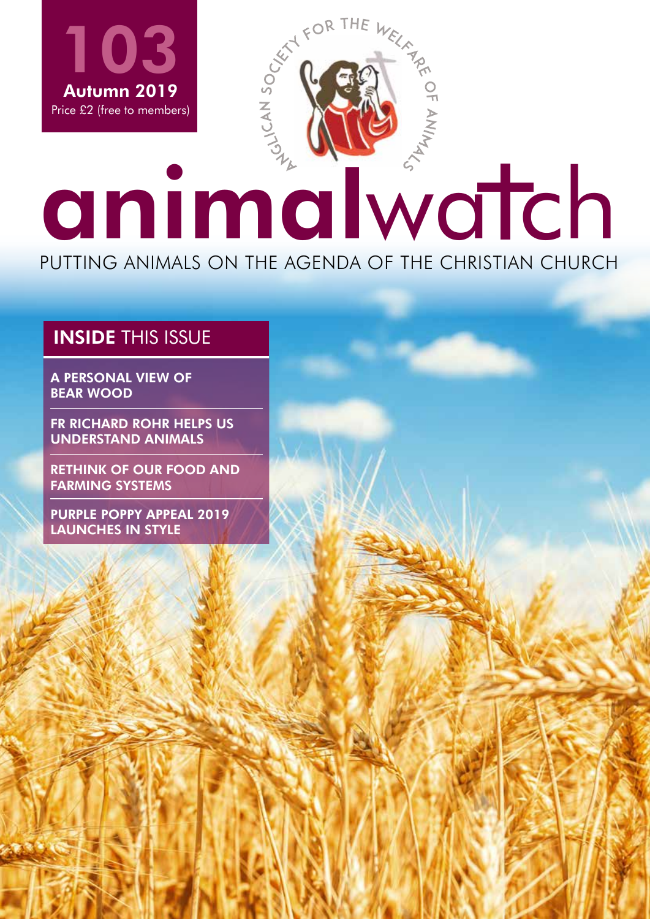

 $\sim$  Me

### INSIDE THIS ISSUE

A PERSONAL VIEW OF BEAR WOOD

FR RICHARD ROHR HELPS US UNDERSTAND ANIMALS

RETHINK OF OUR FOOD AND FARMING SYSTEMS

PURPLE POPPY APPEAL 2019 LAUNCHES IN STYLE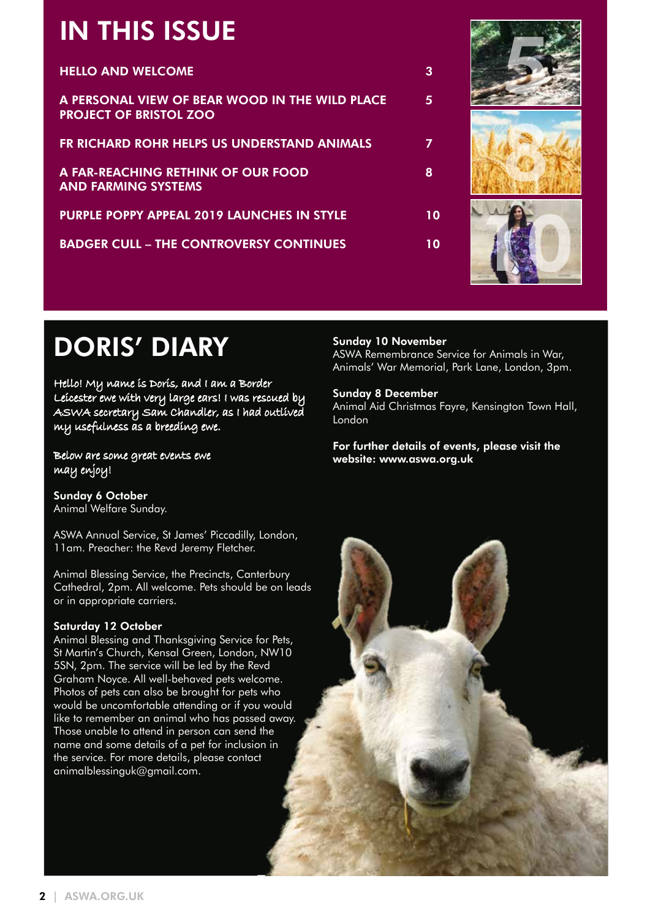# IN THIS ISSUE

| <b>HELLO AND WELCOME</b>                                                        | З  |
|---------------------------------------------------------------------------------|----|
| A PERSONAL VIEW OF BEAR WOOD IN THE WILD PLACE<br><b>PROJECT OF BRISTOL ZOO</b> | 5  |
| FR RICHARD ROHR HELPS US UNDERSTAND ANIMALS                                     | 7  |
| A FAR-REACHING RETHINK OF OUR FOOD<br><b>AND FARMING SYSTEMS</b>                | 8  |
| <b>PURPLE POPPY APPEAL 2019 LAUNCHES IN STYLE</b>                               | 10 |
| <b>BADGER CULL – THE CONTROVERSY CONTINUES</b>                                  | 10 |
|                                                                                 |    |



# DORIS' DIARY

Hello! My name is Doris, and I am a Border Leicester ewe with very large ears! I was rescued by ASWA secretary Sam Chandler, as I had outlived my usefulness as a breeding ewe.

Below are some great events ewe may enjoy!

Sunday 6 October Animal Welfare Sunday.

ASWA Annual Service, St James' Piccadilly, London, 11am. Preacher: the Revd Jeremy Fletcher.

Animal Blessing Service, the Precincts, Canterbury Cathedral, 2pm. All welcome. Pets should be on leads or in appropriate carriers.

### Saturday 12 October

Animal Blessing and Thanksgiving Service for Pets, St Martin's Church, Kensal Green, London, NW10 5SN, 2pm. The service will be led by the Revd Graham Noyce. All well-behaved pets welcome. Photos of pets can also be brought for pets who would be uncomfortable attending or if you would like to remember an animal who has passed away. Those unable to attend in person can send the name and some details of a pet for inclusion in the service. For more details, please contact animalblessinguk@gmail.com.

### Sunday 10 November

ASWA Remembrance Service for Animals in War, Animals' War Memorial, Park Lane, London, 3pm.

### Sunday 8 December

Animal Aid Christmas Fayre, Kensington Town Hall, London

For further details of events, please visit the website: www.aswa.org.uk

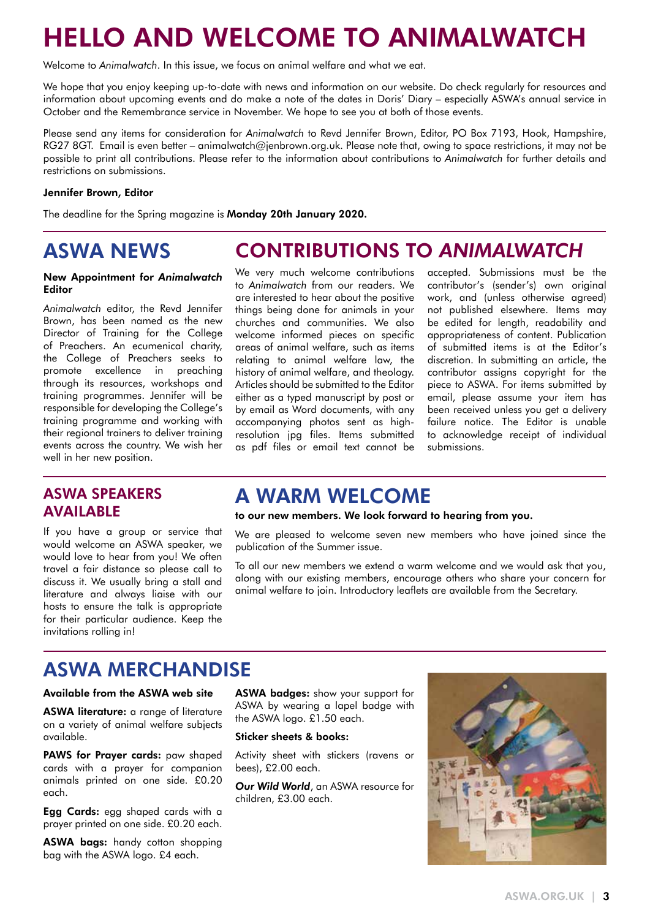# HELLO AND WELCOME TO ANIMALWATCH

Welcome to *Animalwatch*. In this issue, we focus on animal welfare and what we eat.

We hope that you enjoy keeping up-to-date with news and information on our website. Do check regularly for resources and information about upcoming events and do make a note of the dates in Doris' Diary – especially ASWA's annual service in October and the Remembrance service in November. We hope to see you at both of those events.

Please send any items for consideration for *Animalwatch* to Revd Jennifer Brown, Editor, PO Box 7193, Hook, Hampshire, RG27 8GT. Email is even better – animalwatch@jenbrown.org.uk. Please note that, owing to space restrictions, it may not be possible to print all contributions. Please refer to the information about contributions to *Animalwatch* for further details and restrictions on submissions.

#### Jennifer Brown, Editor

The deadline for the Spring magazine is Monday 20th January 2020.

### ASWA NEWS

#### New Appointment for *Animalwatch* Editor

*Animalwatch* editor, the Revd Jennifer Brown, has been named as the new Director of Training for the College of Preachers. An ecumenical charity, the College of Preachers seeks to promote excellence in preaching through its resources, workshops and training programmes. Jennifer will be responsible for developing the College's training programme and working with their regional trainers to deliver training events across the country. We wish her well in her new position.

### ASWA SPEAKERS AVAILABLE

If you have a group or service that would welcome an ASWA speaker, we would love to hear from you! We often travel a fair distance so please call to discuss it. We usually bring a stall and literature and always liaise with our hosts to ensure the talk is appropriate for their particular audience. Keep the invitations rolling in!

### CONTRIBUTIONS TO *ANIMALWATCH*

We very much welcome contributions to *Animalwatch* from our readers. We are interested to hear about the positive things being done for animals in your churches and communities. We also welcome informed pieces on specific areas of animal welfare, such as items relating to animal welfare law, the history of animal welfare, and theology. Articles should be submitted to the Editor either as a typed manuscript by post or by email as Word documents, with any accompanying photos sent as highresolution jpg files. Items submitted as pdf files or email text cannot be

accepted. Submissions must be the contributor's (sender's) own original work, and (unless otherwise agreed) not published elsewhere. Items may be edited for length, readability and appropriateness of content. Publication of submitted items is at the Editor's discretion. In submitting an article, the contributor assigns copyright for the piece to ASWA. For items submitted by email, please assume your item has been received unless you get a delivery failure notice. The Editor is unable to acknowledge receipt of individual submissions.

### A WARM WELCOME

to our new members. We look forward to hearing from you.

We are pleased to welcome seven new members who have joined since the publication of the Summer issue.

To all our new members we extend a warm welcome and we would ask that you, along with our existing members, encourage others who share your concern for animal welfare to join. Introductory leaflets are available from the Secretary.

### ASWA MERCHANDISE

#### Available from the ASWA web site

ASWA literature: a range of literature on a variety of animal welfare subjects available.

PAWS for Prayer cards: paw shaped cards with a prayer for companion animals printed on one side. £0.20 each.

Egg Cards: egg shaped cards with a prayer printed on one side. £0.20 each.

ASWA bags: handy cotton shopping bag with the ASWA logo. £4 each.

ASWA badges: show your support for ASWA by wearing a lapel badge with the ASWA logo. £1.50 each.

### Sticker sheets & books:

Activity sheet with stickers (ravens or bees), £2.00 each.

*Our Wild World*, an ASWA resource for children, £3.00 each.

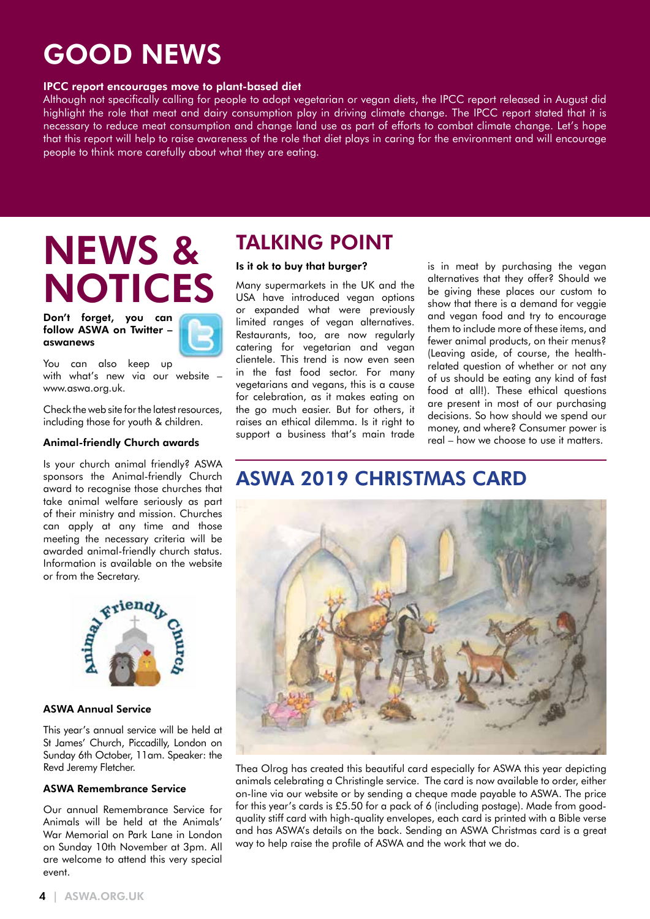# GOOD NEWS

### IPCC report encourages move to plant-based diet

Although not specifically calling for people to adopt vegetarian or vegan diets, the IPCC report released in August did highlight the role that meat and dairy consumption play in driving climate change. The IPCC report stated that it is necessary to reduce meat consumption and change land use as part of efforts to combat climate change. Let's hope that this report will help to raise awareness of the role that diet plays in caring for the environment and will encourage people to think more carefully about what they are eating.

# NEWS & NOTICES

Don't forget, you can follow ASWA on Twitter – aswanews



You can also keep up with what's new via our website – www.aswa.org.uk.

Check the web site for the latest resources, including those for youth & children.

#### Animal-friendly Church awards

Is your church animal friendly? ASWA sponsors the Animal-friendly Church award to recognise those churches that take animal welfare seriously as part of their ministry and mission. Churches can apply at any time and those meeting the necessary criteria will be awarded animal-friendly church status. Information is available on the website or from the Secretary.



### ASWA Annual Service

This year's annual service will be held at St James' Church, Piccadilly, London on Sunday 6th October, 11am. Speaker: the Revd Jeremy Fletcher.

#### ASWA Remembrance Service

Our annual Remembrance Service for Animals will be held at the Animals' War Memorial on Park Lane in London on Sunday 10th November at 3pm. All are welcome to attend this very special event.

### TALKING POINT

### Is it ok to buy that burger?

Many supermarkets in the UK and the USA have introduced vegan options or expanded what were previously limited ranges of vegan alternatives. Restaurants, too, are now regularly catering for vegetarian and vegan clientele. This trend is now even seen in the fast food sector. For many vegetarians and vegans, this is a cause for celebration, as it makes eating on the go much easier. But for others, it raises an ethical dilemma. Is it right to support a business that's main trade is in meat by purchasing the vegan alternatives that they offer? Should we be giving these places our custom to show that there is a demand for veggie and vegan food and try to encourage them to include more of these items, and fewer animal products, on their menus? (Leaving aside, of course, the healthrelated question of whether or not any of us should be eating any kind of fast food at all!). These ethical questions are present in most of our purchasing decisions. So how should we spend our money, and where? Consumer power is real – how we choose to use it matters.

### ASWA 2019 CHRISTMAS CARD



Thea Olrog has created this beautiful card especially for ASWA this year depicting animals celebrating a Christingle service. The card is now available to order, either on-line via our website or by sending a cheque made payable to ASWA. The price for this year's cards is £5.50 for a pack of 6 (including postage). Made from goodquality stiff card with high-quality envelopes, each card is printed with a Bible verse and has ASWA's details on the back. Sending an ASWA Christmas card is a great way to help raise the profile of ASWA and the work that we do.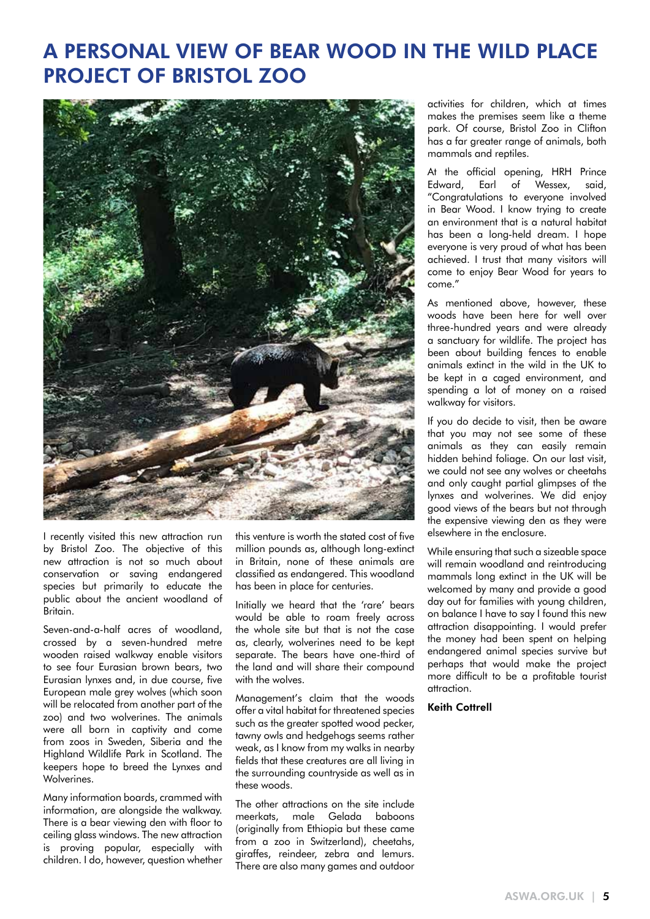### A PERSONAL VIEW OF BEAR WOOD IN THE WILD PLACE PROJECT OF BRISTOL ZOO



I recently visited this new attraction run by Bristol Zoo. The objective of this new attraction is not so much about conservation or saving endangered species but primarily to educate the public about the ancient woodland of Britain.

Seven-and-a-half acres of woodland, crossed by a seven-hundred metre wooden raised walkway enable visitors to see four Eurasian brown bears, two Eurasian lynxes and, in due course, five European male grey wolves (which soon will be relocated from another part of the zoo) and two wolverines. The animals were all born in captivity and come from zoos in Sweden, Siberia and the Highland Wildlife Park in Scotland. The keepers hope to breed the Lynxes and Wolverines.

Many information boards, crammed with information, are alongside the walkway. There is a bear viewing den with floor to ceiling glass windows. The new attraction is proving popular, especially with children. I do, however, question whether

this venture is worth the stated cost of five million pounds as, although long-extinct in Britain, none of these animals are classified as endangered. This woodland has been in place for centuries.

Initially we heard that the 'rare' bears would be able to roam freely across the whole site but that is not the case as, clearly, wolverines need to be kept separate. The bears have one-third of the land and will share their compound with the wolves.

Management's claim that the woods offer a vital habitat for threatened species such as the greater spotted wood pecker, tawny owls and hedgehogs seems rather weak, as I know from my walks in nearby fields that these creatures are all living in the surrounding countryside as well as in these woods.

The other attractions on the site include meerkats, male Gelada baboons (originally from Ethiopia but these came from a zoo in Switzerland), cheetahs, giraffes, reindeer, zebra and lemurs. There are also many games and outdoor activities for children, which at times makes the premises seem like a theme park. Of course, Bristol Zoo in Clifton has a far greater range of animals, both mammals and reptiles.

At the official opening, HRH Prince Edward, Earl of Wessex, said, "Congratulations to everyone involved in Bear Wood. I know trying to create an environment that is a natural habitat has been a long-held dream. I hope everyone is very proud of what has been achieved. I trust that many visitors will come to enjoy Bear Wood for years to come."

As mentioned above, however, these woods have been here for well over three-hundred years and were already a sanctuary for wildlife. The project has been about building fences to enable animals extinct in the wild in the UK to be kept in a caged environment, and spending a lot of money on a raised walkway for visitors.

If you do decide to visit, then be aware that you may not see some of these animals as they can easily remain hidden behind foliage. On our last visit, we could not see any wolves or cheetahs and only caught partial glimpses of the lynxes and wolverines. We did enjoy good views of the bears but not through the expensive viewing den as they were elsewhere in the enclosure.

While ensuring that such a sizeable space will remain woodland and reintroducing mammals long extinct in the UK will be welcomed by many and provide a good day out for families with young children, on balance I have to say I found this new attraction disappointing. I would prefer the money had been spent on helping endangered animal species survive but perhaps that would make the project more difficult to be a profitable tourist attraction.

#### Keith Cottrell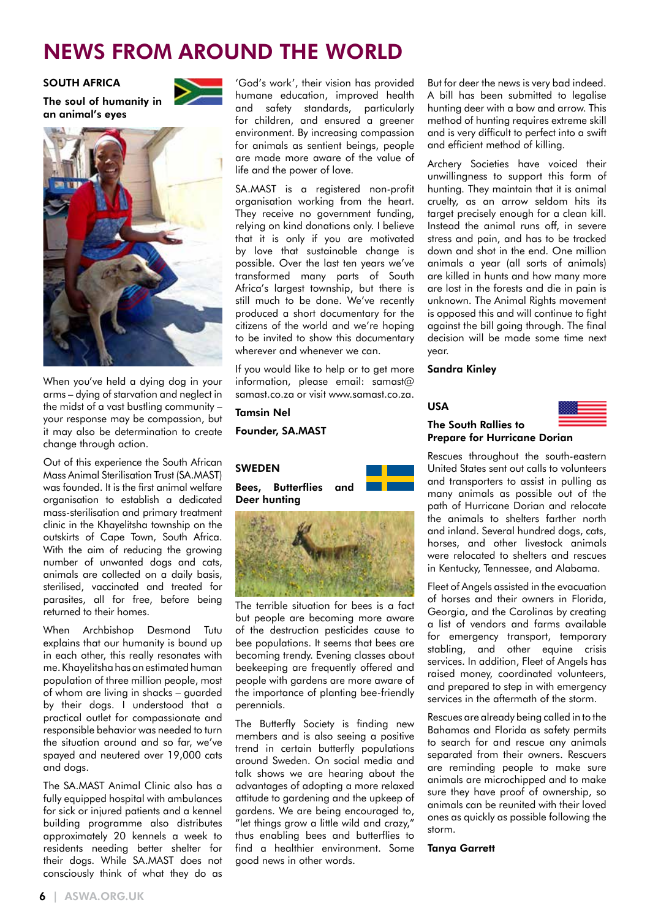### NEWS FROM AROUND THE WORLD

### SOUTH AFRICA

The soul of humanity in an animal's eyes



When you've held a dying dog in your arms – dying of starvation and neglect in the midst of a vast bustling community – your response may be compassion, but it may also be determination to create change through action.

Out of this experience the South African Mass Animal Sterilisation Trust (SA.MAST) was founded. It is the first animal welfare organisation to establish a dedicated mass-sterilisation and primary treatment clinic in the Khayelitsha township on the outskirts of Cape Town, South Africa. With the aim of reducing the growing number of unwanted dogs and cats, animals are collected on a daily basis, sterilised, vaccinated and treated for parasites, all for free, before being returned to their homes.

When Archbishop Desmond Tutu explains that our humanity is bound up in each other, this really resonates with me. Khayelitsha has an estimated human population of three million people, most of whom are living in shacks – guarded by their dogs. I understood that a practical outlet for compassionate and responsible behavior was needed to turn the situation around and so far, we've spayed and neutered over 19,000 cats and dogs.

The SA.MAST Animal Clinic also has a fully equipped hospital with ambulances for sick or injured patients and a kennel building programme also distributes approximately 20 kennels a week to residents needing better shelter for their dogs. While SA.MAST does not consciously think of what they do as

'God's work', their vision has provided humane education, improved health and safety standards, particularly for children, and ensured a greener environment. By increasing compassion for animals as sentient beings, people are made more aware of the value of life and the power of love.

SA.MAST is a registered non-profit organisation working from the heart. They receive no government funding, relying on kind donations only. I believe that it is only if you are motivated by love that sustainable change is possible. Over the last ten years we've transformed many parts of South Africa's largest township, but there is still much to be done. We've recently produced a short documentary for the citizens of the world and we're hoping to be invited to show this documentary wherever and whenever we can.

If you would like to help or to get more information, please email: samast@ samast.co.za or visit www.samast.co.za.

### Tamsin Nel

Founder, SA.MAST





The terrible situation for bees is a fact but people are becoming more aware of the destruction pesticides cause to bee populations. It seems that bees are becoming trendy. Evening classes about beekeeping are frequently offered and people with gardens are more aware of the importance of planting bee-friendly perennials.

The Butterfly Society is finding new members and is also seeing a positive trend in certain butterfly populations around Sweden. On social media and talk shows we are hearing about the advantages of adopting a more relaxed attitude to gardening and the upkeep of gardens. We are being encouraged to, "let things grow a little wild and crazy," thus enabling bees and butterflies to find a healthier environment. Some good news in other words.

But for deer the news is very bad indeed. A bill has been submitted to legalise hunting deer with a bow and arrow. This method of hunting requires extreme skill and is very difficult to perfect into a swift and efficient method of killing.

Archery Societies have voiced their unwillingness to support this form of hunting. They maintain that it is animal cruelty, as an arrow seldom hits its target precisely enough for a clean kill. Instead the animal runs off, in severe stress and pain, and has to be tracked down and shot in the end. One million animals a year (all sorts of animals) are killed in hunts and how many more are lost in the forests and die in pain is unknown. The Animal Rights movement is opposed this and will continue to fight against the bill going through. The final decision will be made some time next year.

#### Sandra Kinley

USA



### The South Rallies to Prepare for Hurricane Dorian

Rescues throughout the south-eastern United States sent out calls to volunteers and transporters to assist in pulling as many animals as possible out of the path of Hurricane Dorian and relocate the animals to shelters farther north and inland. Several hundred dogs, cats, horses, and other livestock animals were relocated to shelters and rescues in Kentucky, Tennessee, and Alabama.

Fleet of Angels assisted in the evacuation of horses and their owners in Florida, Georgia, and the Carolinas by creating a list of vendors and farms available for emergency transport, temporary stabling, and other equine crisis services. In addition, Fleet of Angels has raised money, coordinated volunteers, and prepared to step in with emergency services in the aftermath of the storm.

Rescues are already being called in to the Bahamas and Florida as safety permits to search for and rescue any animals separated from their owners. Rescuers are reminding people to make sure animals are microchipped and to make sure they have proof of ownership, so animals can be reunited with their loved ones as quickly as possible following the storm.

#### Tanya Garrett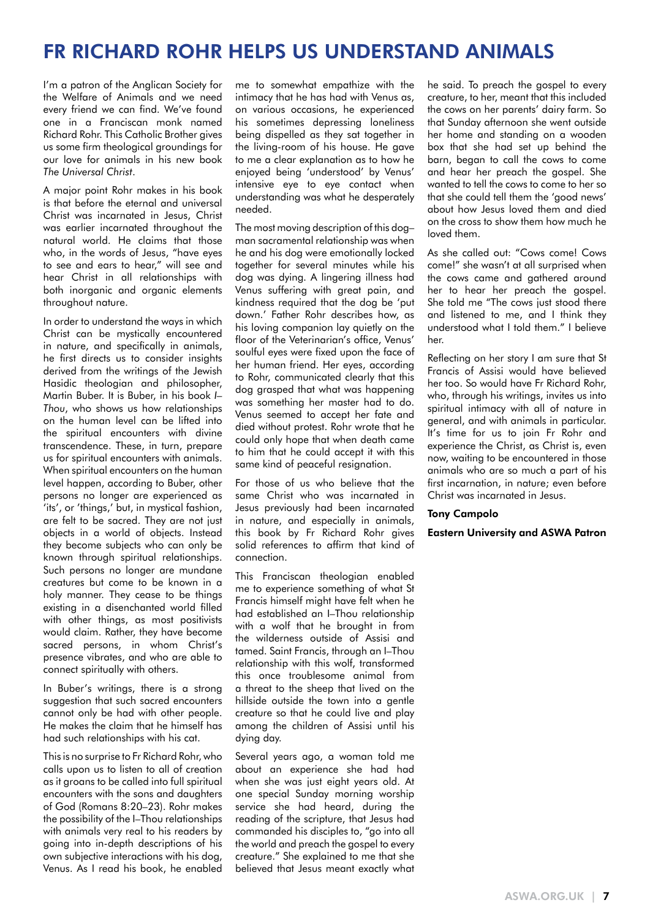### FR RICHARD ROHR HELPS US UNDERSTAND ANIMALS

I'm a patron of the Anglican Society for the Welfare of Animals and we need every friend we can find. We've found one in a Franciscan monk named Richard Rohr. This Catholic Brother gives us some firm theological groundings for our love for animals in his new book *The Universal Christ*.

A major point Rohr makes in his book is that before the eternal and universal Christ was incarnated in Jesus, Christ was earlier incarnated throughout the natural world. He claims that those who, in the words of Jesus, "have eyes to see and ears to hear," will see and hear Christ in all relationships with both inorganic and organic elements throughout nature.

In order to understand the ways in which Christ can be mystically encountered in nature, and specifically in animals, he first directs us to consider insights derived from the writings of the Jewish Hasidic theologian and philosopher, Martin Buber. It is Buber, in his book *I– Thou*, who shows us how relationships on the human level can be lifted into the spiritual encounters with divine transcendence. These, in turn, prepare us for spiritual encounters with animals. When spiritual encounters on the human level happen, according to Buber, other persons no longer are experienced as 'its', or 'things,' but, in mystical fashion, are felt to be sacred. They are not just objects in a world of objects. Instead they become subjects who can only be known through spiritual relationships. Such persons no longer are mundane creatures but come to be known in a holy manner. They cease to be things existing in a disenchanted world filled with other things, as most positivists would claim. Rather, they have become sacred persons, in whom Christ's presence vibrates, and who are able to connect spiritually with others.

In Buber's writings, there is a strong suggestion that such sacred encounters cannot only be had with other people. He makes the claim that he himself has had such relationships with his cat.

This is no surprise to Fr Richard Rohr, who calls upon us to listen to all of creation as it groans to be called into full spiritual encounters with the sons and daughters of God (Romans 8:20–23). Rohr makes the possibility of the I-Thou relationships with animals very real to his readers by going into in-depth descriptions of his own subjective interactions with his dog, Venus. As I read his book, he enabled

me to somewhat empathize with the intimacy that he has had with Venus as, on various occasions, he experienced his sometimes depressing loneliness being dispelled as they sat together in the living-room of his house. He gave to me a clear explanation as to how he enjoyed being 'understood' by Venus' intensive eye to eye contact when understanding was what he desperately needed.

The most moving description of this dog– man sacramental relationship was when he and his dog were emotionally locked together for several minutes while his dog was dying. A lingering illness had Venus suffering with great pain, and kindness required that the dog be 'put down.' Father Rohr describes how, as his loving companion lay quietly on the floor of the Veterinarian's office, Venus' soulful eyes were fixed upon the face of her human friend. Her eyes, according to Rohr, communicated clearly that this dog grasped that what was happening was something her master had to do. Venus seemed to accept her fate and died without protest. Rohr wrote that he could only hope that when death came to him that he could accept it with this same kind of peaceful resignation.

For those of us who believe that the same Christ who was incarnated in Jesus previously had been incarnated in nature, and especially in animals, this book by Fr Richard Rohr gives solid references to affirm that kind of connection.

This Franciscan theologian enabled me to experience something of what St Francis himself might have felt when he had established an I–Thou relationship with a wolf that he brought in from the wilderness outside of Assisi and tamed. Saint Francis, through an I–Thou relationship with this wolf, transformed this once troublesome animal from a threat to the sheep that lived on the hillside outside the town into a gentle creature so that he could live and play among the children of Assisi until his dying day.

Several years ago, a woman told me about an experience she had had when she was just eight years old. At one special Sunday morning worship service she had heard, during the reading of the scripture, that Jesus had commanded his disciples to, "go into all the world and preach the gospel to every creature." She explained to me that she believed that Jesus meant exactly what he said. To preach the gospel to every creature, to her, meant that this included the cows on her parents' dairy farm. So that Sunday afternoon she went outside her home and standing on a wooden box that she had set up behind the barn, began to call the cows to come and hear her preach the gospel. She wanted to tell the cows to come to her so that she could tell them the 'good news' about how Jesus loved them and died on the cross to show them how much he loved them.

As she called out: "Cows come! Cows come!" she wasn't at all surprised when the cows came and gathered around her to hear her preach the gospel. She told me "The cows just stood there and listened to me, and I think they understood what I told them." I believe her.

Reflecting on her story I am sure that St Francis of Assisi would have believed her too. So would have Fr Richard Rohr, who, through his writings, invites us into spiritual intimacy with all of nature in general, and with animals in particular. It's time for us to join Fr Rohr and experience the Christ, as Christ is, even now, waiting to be encountered in those animals who are so much a part of his first incarnation, in nature; even before Christ was incarnated in Jesus.

#### Tony Campolo

Eastern University and ASWA Patron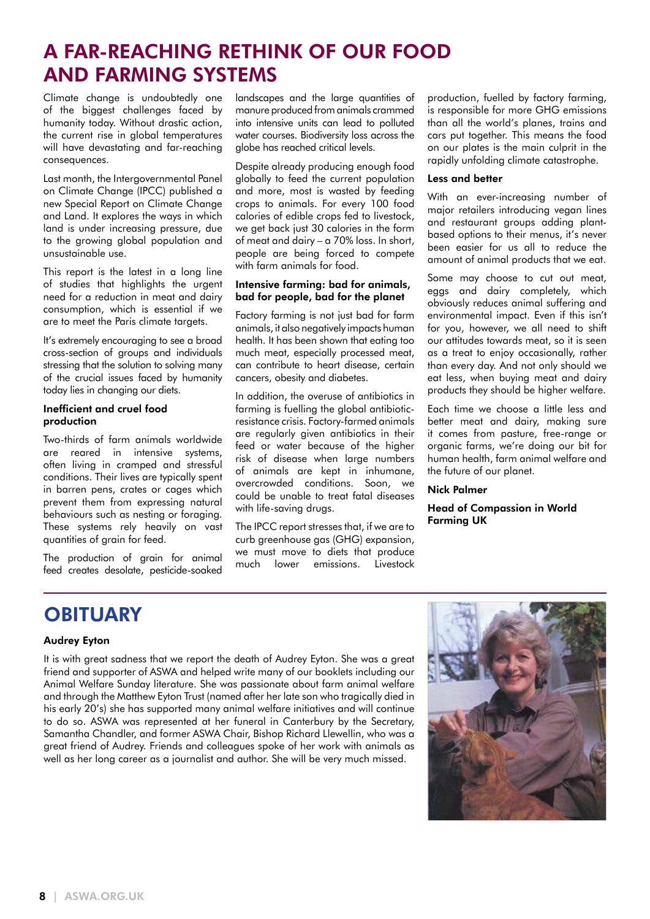### A FAR-REACHING RETHINK OF OUR FOOD AND FARMING SYSTEMS

Climate change is undoubtedly one of the biggest challenges faced by humanity today. Without drastic action, the current rise in global temperatures will have devastating and far-reaching consequences.

Last month, the Intergovernmental Panel on Climate Change (IPCC) published a new Special Report on Climate Change and Land. It explores the ways in which land is under increasing pressure, due to the growing global population and unsustainable use.

This report is the latest in a long line of studies that highlights the urgent need for a reduction in meat and dairy consumption, which is essential if we are to meet the Paris climate targets.

It's extremely encouraging to see a broad cross-section of groups and individuals stressing that the solution to solving many of the crucial issues faced by humanity today lies in changing our diets.

### Inefficient and cruel food production

Two-thirds of farm animals worldwide are reared in intensive systems, often living in cramped and stressful conditions. Their lives are typically spent in barren pens, crates or cages which prevent them from expressing natural behaviours such as nesting or foraging. These systems rely heavily on vast quantities of grain for feed.

The production of arain for animal feed creates desolate, pesticide-soaked landscapes and the large quantities of manure produced from animals crammed into intensive units can lead to polluted water courses. Biodiversity loss across the globe has reached critical levels.

Despite already producing enough food globally to feed the current population and more, most is wasted by feeding crops to animals. For every 100 food calories of edible crops fed to livestock, we get back just 30 calories in the form of meat and dairy – a 70% loss. In short, people are being forced to compete with farm animals for food.

#### Intensive farming: bad for animals, bad for people, bad for the planet

Factory farming is not just bad for farm animals, it also negatively impacts human health. It has been shown that eating too much meat, especially processed meat, can contribute to heart disease, certain cancers, obesity and diabetes.

In addition, the overuse of antibiotics in farming is fuelling the global antibioticresistance crisis. Factory-farmed animals are regularly given antibiotics in their feed or water because of the higher risk of disease when large numbers of animals are kept in inhumane, overcrowded conditions. Soon, we could be unable to treat fatal diseases with life-saving drugs.

The IPCC report stresses that, if we are to curb greenhouse gas (GHG) expansion, we must move to diets that produce much lower emissions. Livestock

production, fuelled by factory farming, is responsible for more GHG emissions than all the world's planes, trains and cars put together. This means the food on our plates is the main culprit in the rapidly unfolding climate catastrophe.

#### Less and better

With an ever-increasing number of major retailers introducing vegan lines and restaurant groups adding plantbased options to their menus, it's never been easier for us all to reduce the amount of animal products that we eat.

Some may choose to cut out meat, eggs and dairy completely, which obviously reduces animal suffering and environmental impact. Even if this isn't for you, however, we all need to shift our attitudes towards meat, so it is seen as a treat to enjoy occasionally, rather than every day. And not only should we eat less, when buying meat and dairy products they should be higher welfare.

Each time we choose a little less and better meat and dairy, making sure it comes from pasture, free-range or organic farms, we're doing our bit for human health, farm animal welfare and the future of our planet.

### Nick Palmer

Head of Compassion in World Farming UK

### **OBITUARY**

### Audrey Eyton

It is with great sadness that we report the death of Audrey Eyton. She was a great friend and supporter of ASWA and helped write many of our booklets including our Animal Welfare Sunday literature. She was passionate about farm animal welfare and through the Matthew Eyton Trust (named after her late son who tragically died in his early 20's) she has supported many animal welfare initiatives and will continue to do so. ASWA was represented at her funeral in Canterbury by the Secretary, Samantha Chandler, and former ASWA Chair, Bishop Richard Llewellin, who was a great friend of Audrey. Friends and colleagues spoke of her work with animals as well as her long career as a journalist and author. She will be very much missed.

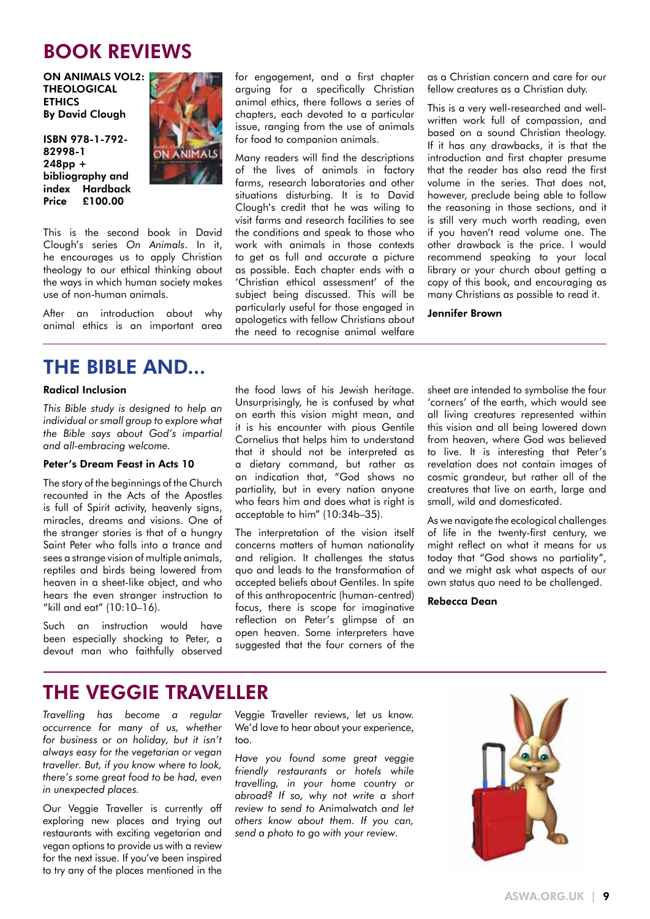### BOOK REVIEWS

ON ANIMALS VOL2: THEOLOGICAL **ETHICS** By David Clough

ISBN 978-1-792- 82998-1 248pp + bibliography and index Hardback Price £100.00



This is the second book in David Clough's series *On Animals*. In it, he encourages us to apply Christian theology to our ethical thinking about the ways in which human society makes use of non-human animals.

After an introduction about why animal ethics is an important area

### THE BIBLE AND...

### Radical Inclusion

*This Bible study is designed to help an individual or small group to explore what the Bible says about God's impartial and all-embracing welcome.*

### Peter's Dream Feast in Acts 10

The story of the beginnings of the Church recounted in the Acts of the Apostles is full of Spirit activity, heavenly signs, miracles, dreams and visions. One of the stranger stories is that of a hungry Saint Peter who falls into a trance and sees a strange vision of multiple animals, reptiles and birds being lowered from heaven in a sheet-like object, and who hears the even stranger instruction to "kill and eat" (10:10–16).

Such an instruction would have been especially shocking to Peter, a devout man who faithfully observed

for engagement, and a first chapter arguing for a specifically Christian animal ethics, there follows a series of chapters, each devoted to a particular issue, ranging from the use of animals for food to companion animals.

Many readers will find the descriptions of the lives of animals in factory farms, research laboratories and other situations disturbing. It is to David Clough's credit that he was wiling to visit farms and research facilities to see the conditions and speak to those who work with animals in those contexts to get as full and accurate a picture as possible. Each chapter ends with a 'Christian ethical assessment' of the subject being discussed. This will be particularly useful for those engaged in apologetics with fellow Christians about the need to recognise animal welfare

as a Christian concern and care for our fellow creatures as a Christian duty.

This is a very well-researched and wellwritten work full of compassion, and based on a sound Christian theology. If it has any drawbacks, it is that the introduction and first chapter presume that the reader has also read the first volume in the series. That does not, however, preclude being able to follow the reasoning in those sections, and it is still very much worth reading, even if you haven't read volume one. The other drawback is the price. I would recommend speaking to your local library or your church about getting a copy of this book, and encouraging as many Christians as possible to read it.

#### Jennifer Brown

the food laws of his Jewish heritage. Unsurprisingly, he is confused by what on earth this vision might mean, and it is his encounter with pious Gentile Cornelius that helps him to understand that it should not be interpreted as a dietary command, but rather as an indication that, "God shows no partiality, but in every nation anyone who fears him and does what is right is acceptable to him" (10:34b–35).

The interpretation of the vision itself concerns matters of human nationality and religion. It challenges the status quo and leads to the transformation of accepted beliefs about Gentiles. In spite of this anthropocentric (human-centred) focus, there is scope for imaginative reflection on Peter's glimpse of an open heaven. Some interpreters have suggested that the four corners of the

sheet are intended to symbolise the four 'corners' of the earth, which would see all living creatures represented within this vision and all being lowered down from heaven, where God was believed to live. It is interesting that Peter's revelation does not contain images of cosmic grandeur, but rather all of the creatures that live on earth, large and small, wild and domesticated.

As we navigate the ecological challenges of life in the twenty-first century, we might reflect on what it means for us today that "God shows no partiality", and we might ask what aspects of our own status quo need to be challenged.

Rebecca Dean

### THE VEGGIE TRAVELLER

*Travelling has become a regular occurrence for many of us, whether for business or on holiday, but it isn't always easy for the vegetarian or vegan traveller. But, if you know where to look, there's some great food to be had, even in unexpected places.*

Our Veggie Traveller is currently off exploring new places and trying out restaurants with exciting vegetarian and vegan options to provide us with a review for the next issue. If you've been inspired to try any of the places mentioned in the Veggie Traveller reviews, let us know. We'd love to hear about your experience, too.

*Have you found some great veggie friendly restaurants or hotels while travelling, in your home country or abroad? If so, why not write a short review to send to* Animalwatch *and let others know about them. If you can, send a photo to go with your review.*

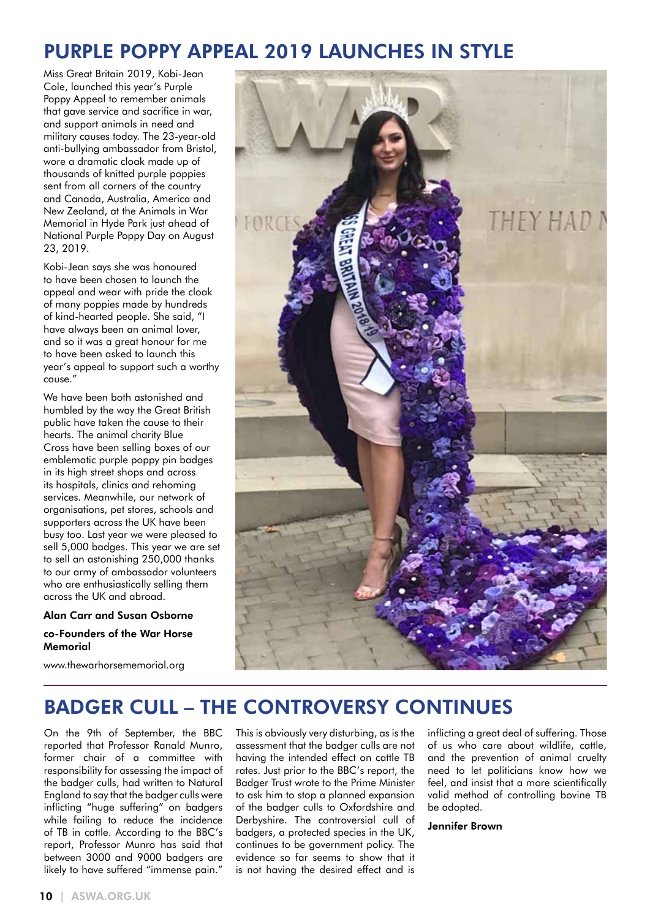### PURPLE POPPY APPEAL 2019 LAUNCHES IN STYLE

Miss Great Britain 2019, Kobi-Jean Cole, launched this year's Purple Poppy Appeal to remember animals that gave service and sacrifice in war, and support animals in need and military causes today. The 23-year-old anti-bullying ambassador from Bristol, wore a dramatic cloak made up of thousands of knitted purple poppies sent from all corners of the country and Canada, Australia, America and New Zealand, at the Animals in War Memorial in Hyde Park just ahead of National Purple Poppy Day on August 23, 2019.

Kobi-Jean says she was honoured to have been chosen to launch the appeal and wear with pride the cloak of many poppies made by hundreds of kind-hearted people. She said, "I have always been an animal lover, and so it was a great honour for me to have been asked to launch this year's appeal to support such a worthy cause."

We have been both astonished and humbled by the way the Great British public have taken the cause to their hearts. The animal charity Blue Cross have been selling boxes of our emblematic purple poppy pin badges in its high street shops and across its hospitals, clinics and rehoming services. Meanwhile, our network of organisations, pet stores, schools and supporters across the UK have been busy too. Last year we were pleased to sell 5,000 badges. This year we are set to sell an astonishing 250,000 thanks to our army of ambassador volunteers who are enthusiastically selling them across the UK and abroad.

#### Alan Carr and Susan Osborne

### co-Founders of the War Horse Memorial

www.thewarhorsememorial.org



### BADGER CULL – THE CONTROVERSY CONTINUES

On the 9th of September, the BBC reported that Professor Ranald Munro, former chair of a committee with responsibility for assessing the impact of the badger culls, had written to Natural England to say that the badger culls were inflicting "huge suffering" on badgers while failing to reduce the incidence of TB in cattle. According to the BBC's report, Professor Munro has said that between 3000 and 9000 badgers are likely to have suffered "immense pain."

This is obviously very disturbing, as is the assessment that the badger culls are not having the intended effect on cattle TB rates. Just prior to the BBC's report, the Badger Trust wrote to the Prime Minister to ask him to stop a planned expansion of the badger culls to Oxfordshire and Derbyshire. The controversial cull of badgers, a protected species in the UK, continues to be government policy. The evidence so far seems to show that it is not having the desired effect and is

inflicting a great deal of suffering. Those of us who care about wildlife, cattle, and the prevention of animal cruelty need to let politicians know how we feel, and insist that a more scientifically valid method of controlling bovine TB be adopted.

#### Jennifer Brown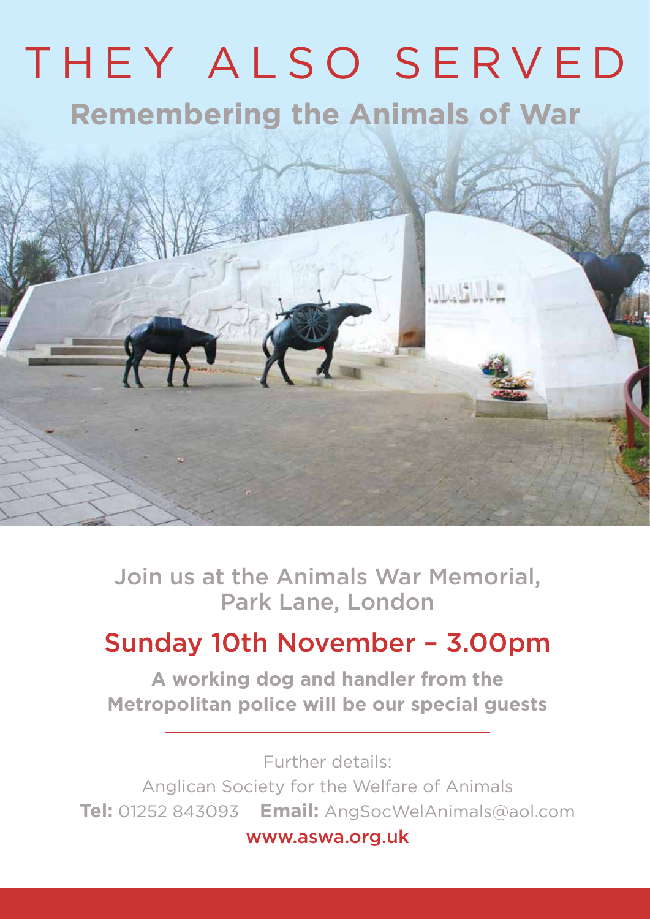# THEY ALSO SERVED **Remembering the Animals of War**

**MARTIN** 

Join us at the Animals War Memorial, Park Lane, London

## Sunday 10th November – 3.00pm

**A working dog and handler from the Metropolitan police will be our special guests**

Further details: Anglican Society for the Welfare of Animals **Tel:** 01252 843093 **Email:** AngSocWelAnimals@aol.com

www.aswa.org.uk